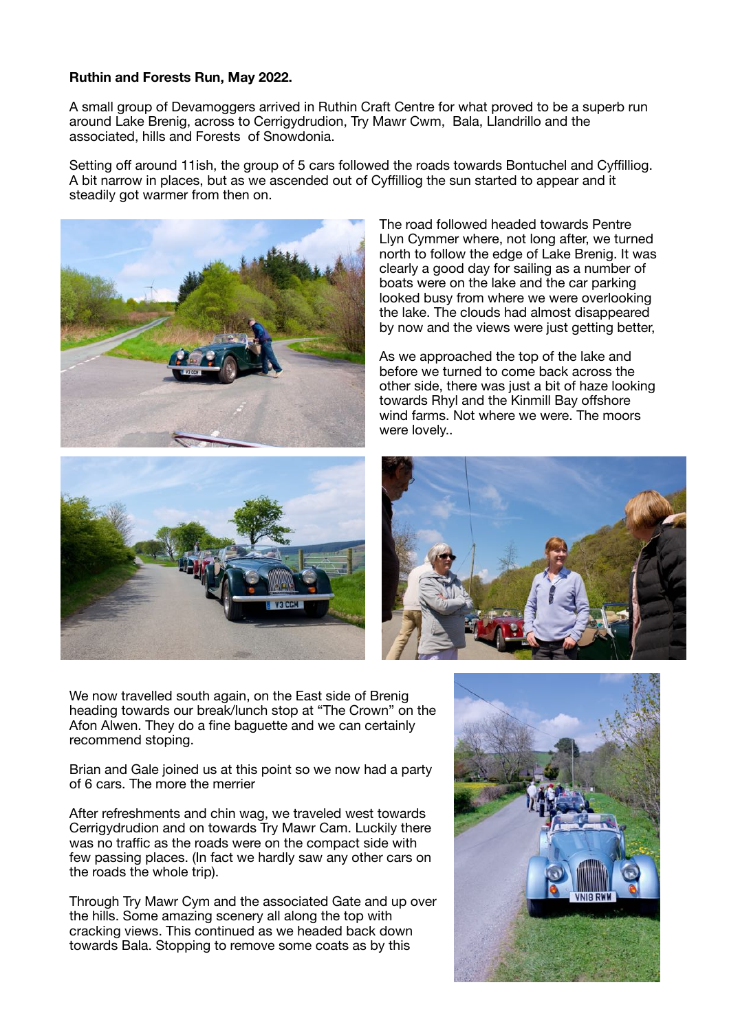## **Ruthin and Forests Run, May 2022.**

A small group of Devamoggers arrived in Ruthin Craft Centre for what proved to be a superb run around Lake Brenig, across to Cerrigydrudion, Try Mawr Cwm, Bala, Llandrillo and the associated, hills and Forests of Snowdonia.

Setting off around 11ish, the group of 5 cars followed the roads towards Bontuchel and Cyffilliog. A bit narrow in places, but as we ascended out of Cyffilliog the sun started to appear and it steadily got warmer from then on.



The road followed headed towards Pentre Llyn Cymmer where, not long after, we turned north to follow the edge of Lake Brenig. It was clearly a good day for sailing as a number of boats were on the lake and the car parking looked busy from where we were overlooking the lake. The clouds had almost disappeared by now and the views were just getting better,

As we approached the top of the lake and before we turned to come back across the other side, there was just a bit of haze looking towards Rhyl and the Kinmill Bay offshore wind farms. Not where we were. The moors were lovely..





We now travelled south again, on the East side of Brenig heading towards our break/lunch stop at "The Crown" on the Afon Alwen. They do a fine baguette and we can certainly recommend stoping.

Brian and Gale joined us at this point so we now had a party of 6 cars. The more the merrier

After refreshments and chin wag, we traveled west towards Cerrigydrudion and on towards Try Mawr Cam. Luckily there was no traffic as the roads were on the compact side with few passing places. (In fact we hardly saw any other cars on the roads the whole trip).

Through Try Mawr Cym and the associated Gate and up over the hills. Some amazing scenery all along the top with cracking views. This continued as we headed back down towards Bala. Stopping to remove some coats as by this